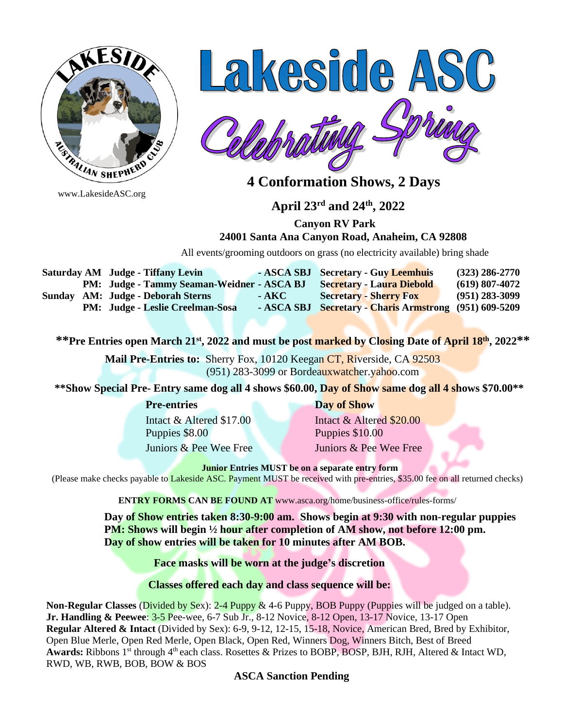





# **4 Conformation Shows, 2 Days**

## **April 23rd and 24th, 2022**

 **Canyon RV Park**

 **24001 Santa Ana Canyon Road, Anaheim, CA 92808**

All events/grooming outdoors on grass (no electricity available) bring shade

| <b>Saturday AM</b> Judge - Tiffany Levin |                                            |         | - ASCA SBJ Secretary - Guy Leemhuis                    | $(323)$ 286-2770 |
|------------------------------------------|--------------------------------------------|---------|--------------------------------------------------------|------------------|
|                                          | PM: Judge - Tammy Seaman-Weidner - ASCA BJ |         | <b>Secretary - Laura Diebold</b>                       | $(619)$ 807-4072 |
| Sunday AM: Judge - Deborah Sterns        |                                            | - AKC - | <b>Secretary - Sherry Fox</b>                          | $(951)$ 283-3099 |
|                                          | <b>PM:</b> Judge - Leslie Creelman-Sosa    |         | - ASCA SBJ Secretary - Charis Armstrong (951) 609-5209 |                  |

 **\*\*Pre Entries open March 21st, 2022 and must be post marked by Closing Date of April 18th, 2022\*\***

**Mail Pre-Entries to: Sherry Fox, 10120 Keegan CT, Riverside, CA 92503** (951) 283-3099 or Bordeauxwatcher.yahoo.com

 **\*\*Show Special Pre- Entry same dog all 4 shows \$60.00, Day of Show same dog all 4 shows \$70.00\*\***

Intact & Altered \$17.00 Intact & Altered \$20.00 Puppies  $$8.00$  Puppies  $$10.00$ 

### **Pre-entries Day of Show**

Juniors & Pee Wee Free Juniors & Pee Wee Free

**Junior Entries MUST be on a separate entry form**

(Please make checks payable to Lakeside ASC. Payment MUST be received with pre-entries, \$35.00 fee on all returned checks)

**ENTRY FORMS CAN BE FOUND AT** www.asca.org/home/business-office/rules-forms/

**Day of Show entries taken 8:30-9:00 am. Shows begin at 9:30 with non-regular puppies PM: Shows will begin ½ hour after completion of AM show, not before 12:00 pm. Day of show entries will be taken for 10 minutes after AM BOB.** 

 **Face masks will be worn at the judge's discretion**

 **Classes offered each day and class sequence will be:** 

**Non-Regular Classes** (Divided by Sex): 2-4 Puppy & 4-6 Puppy, BOB Puppy (Puppies will be judged on a table). **Jr. Handling & Peewee**: 3-5 Pee-wee, 6-7 Sub Jr., 8-12 Novice, 8-12 Open, 13-17 Novice, 13-17 Open **Regular Altered & Intact** (Divided by Sex): 6-9, 9-12, 12-15, 15-18, Novice, American Bred, Bred by Exhibitor, Open Blue Merle, Open Red Merle, Open Black, Open Red, Winners Dog, Winners Bitch, Best of Breed Awards: Ribbons 1<sup>st</sup> through 4<sup>th</sup> each class. Rosettes & Prizes to BOBP, BOSP, BJH, RJH, Altered & Intact WD, RWD, WB, RWB, BOB, BOW & BOS

**ASCA Sanction Pending**